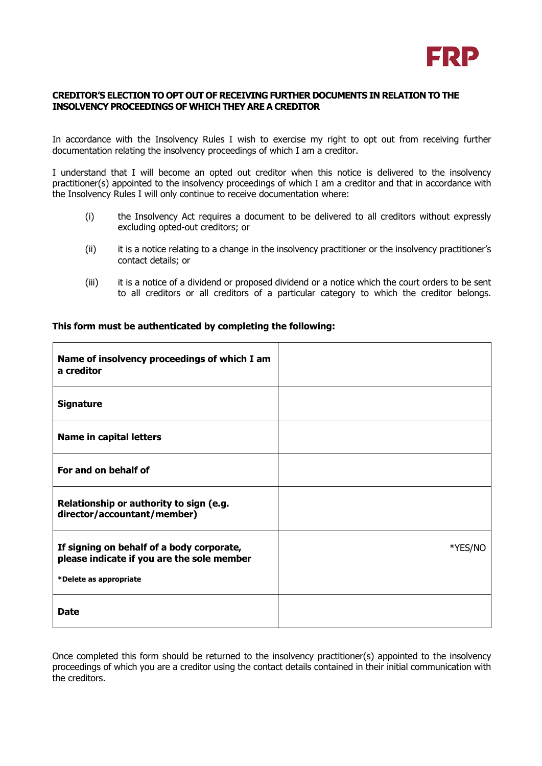

## **CREDITOR'S ELECTION TO OPT OUT OF RECEIVING FURTHER DOCUMENTS IN RELATION TO THE INSOLVENCY PROCEEDINGS OF WHICH THEY ARE A CREDITOR**

In accordance with the Insolvency Rules I wish to exercise my right to opt out from receiving further documentation relating the insolvency proceedings of which I am a creditor.

I understand that I will become an opted out creditor when this notice is delivered to the insolvency practitioner(s) appointed to the insolvency proceedings of which I am a creditor and that in accordance with the Insolvency Rules I will only continue to receive documentation where:

- (i) the Insolvency Act requires a document to be delivered to all creditors without expressly excluding opted-out creditors; or
- (ii) it is a notice relating to a change in the insolvency practitioner or the insolvency practitioner's contact details; or
- (iii) it is a notice of a dividend or proposed dividend or a notice which the court orders to be sent to all creditors or all creditors of a particular category to which the creditor belongs.

| Name of insolvency proceedings of which I am<br>a creditor                                                        |         |
|-------------------------------------------------------------------------------------------------------------------|---------|
| <b>Signature</b>                                                                                                  |         |
| Name in capital letters                                                                                           |         |
| For and on behalf of                                                                                              |         |
| Relationship or authority to sign (e.g.<br>director/accountant/member)                                            |         |
| If signing on behalf of a body corporate,<br>please indicate if you are the sole member<br>*Delete as appropriate | *YES/NO |
| <b>Date</b>                                                                                                       |         |

## **This form must be authenticated by completing the following:**

Once completed this form should be returned to the insolvency practitioner(s) appointed to the insolvency proceedings of which you are a creditor using the contact details contained in their initial communication with the creditors.